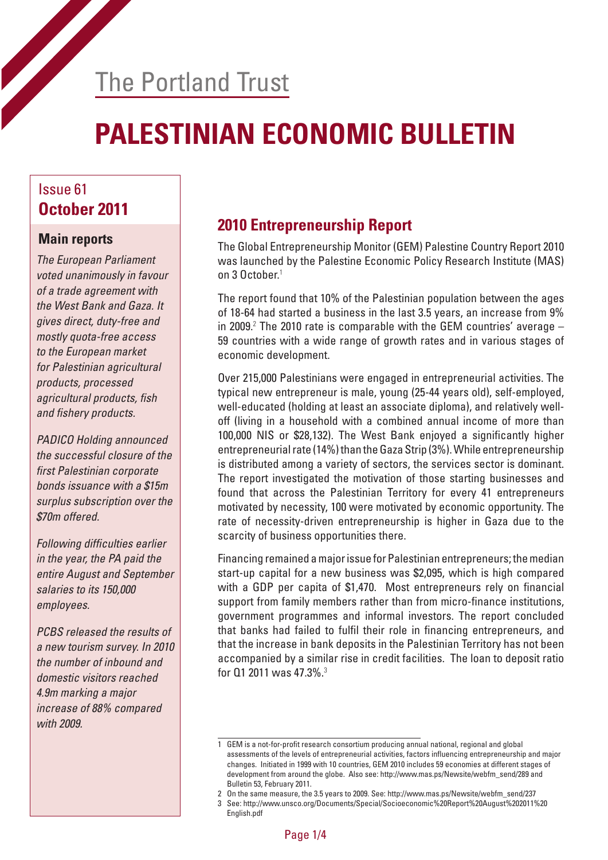# The Portland Trust

# **PALESTINIAN ECONOMIC BULLETIN**

#### Issue 61 **October 2011**

#### **Main reports**

*The European Parliament voted unanimously in favour of a trade agreement with the West Bank and Gaza. It gives direct, duty-free and mostly quota-free access to the European market for Palestinian agricultural products, processed*  agricultural products, fish and fishery products.

*PADICO Holding announced the successful closure of the*  first Palestinian corporate *bonds issuance with a \$15m surplus subscription over the \$70m offered.*

Following difficulties earlier *in the year, the PA paid the entire August and September salaries to its 150,000 employees.*

*PCBS released the results of a new tourism survey. In 2010 the number of inbound and domestic visitors reached 4.9m marking a major increase of 88% compared with 2009.*

## **2010 Entrepreneurship Report**

The Global Entrepreneurship Monitor (GEM) Palestine Country Report 2010 was launched by the Palestine Economic Policy Research Institute (MAS) on 3 October.<sup>1</sup>

The report found that 10% of the Palestinian population between the ages of 18-64 had started a business in the last 3.5 years, an increase from 9% in 2009.<sup>2</sup> The 2010 rate is comparable with the GEM countries' average  $-$ 59 countries with a wide range of growth rates and in various stages of economic development.

Over 215,000 Palestinians were engaged in entrepreneurial activities. The typical new entrepreneur is male, young (25-44 years old), self-employed, well-educated (holding at least an associate diploma), and relatively welloff (living in a household with a combined annual income of more than 100,000 NIS or \$28,132). The West Bank enjoyed a significantly higher entrepreneurial rate (14%) than the Gaza Strip (3%). While entrepreneurship is distributed among a variety of sectors, the services sector is dominant. The report investigated the motivation of those starting businesses and found that across the Palestinian Territory for every 41 entrepreneurs motivated by necessity, 100 were motivated by economic opportunity. The rate of necessity-driven entrepreneurship is higher in Gaza due to the scarcity of business opportunities there.

Financing remained a major issue for Palestinian entrepreneurs; the median start-up capital for a new business was \$2,095, which is high compared with a GDP per capita of \$1,470. Most entrepreneurs rely on financial support from family members rather than from micro-finance institutions, government programmes and informal investors. The report concluded that banks had failed to fulfil their role in financing entrepreneurs, and that the increase in bank deposits in the Palestinian Territory has not been accompanied by a similar rise in credit facilities. The loan to deposit ratio for Q1 2011 was 47.3%.<sup>3</sup>

<sup>1</sup> GEM is a not-for-profit research consortium producing annual national, regional and global assessments of the levels of entrepreneurial activities, factors influencing entrepreneurship and major changes. Initiated in 1999 with 10 countries, GEM 2010 includes 59 economies at different stages of development from around the globe. Also see: http://www.mas.ps/Newsite/webfm\_send/289 and Bulletin 53, February 2011.

<sup>2</sup> On the same measure, the 3.5 years to 2009. See: http://www.mas.ps/Newsite/webfm\_send/237

<sup>3</sup> See: http://www.unsco.org/Documents/Special/Socioeconomic%20Report%20August%202011%20 English.pdf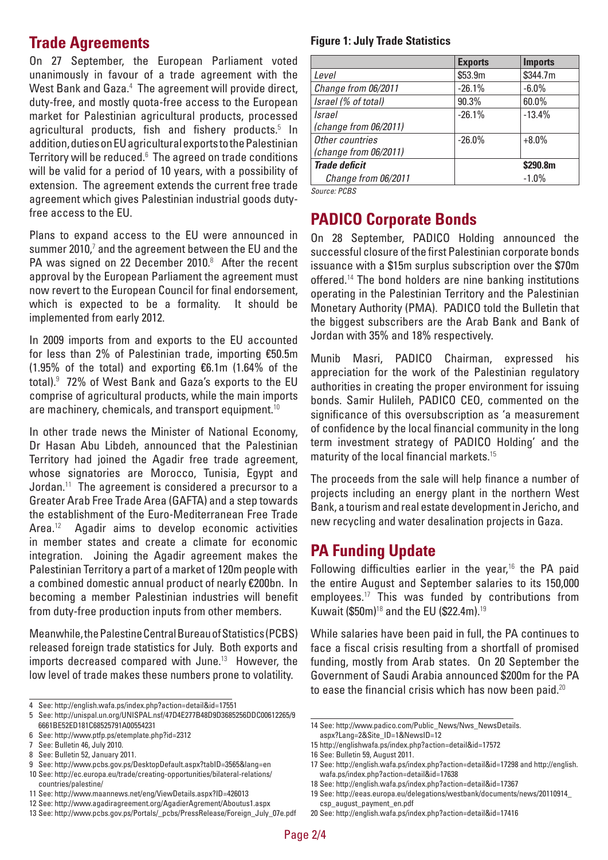#### **Trade Agreements**

On 27 September, the European Parliament voted unanimously in favour of a trade agreement with the West Bank and Gaza.<sup>4</sup> The agreement will provide direct, duty-free, and mostly quota-free access to the European market for Palestinian agricultural products, processed agricultural products, fish and fishery products.<sup>5</sup> In addition, duties on EU agricultural exports to the Palestinian Territory will be reduced.<sup>6</sup> The agreed on trade conditions will be valid for a period of 10 years, with a possibility of extension. The agreement extends the current free trade agreement which gives Palestinian industrial goods dutyfree access to the EU.

Plans to expand access to the EU were announced in summer 2010, $^7$  and the agreement between the EU and the PA was signed on 22 December 2010. $8$  After the recent approval by the European Parliament the agreement must now revert to the European Council for final endorsement, which is expected to be a formality. It should be implemented from early 2012.

In 2009 imports from and exports to the EU accounted for less than 2% of Palestinian trade, importing €50.5m (1.95% of the total) and exporting €6.1m (1.64% of the total).<sup>9</sup> 72% of West Bank and Gaza's exports to the EU comprise of agricultural products, while the main imports are machinery, chemicals, and transport equipment.<sup>10</sup>

In other trade news the Minister of National Economy, Dr Hasan Abu Libdeh, announced that the Palestinian Territory had joined the Agadir free trade agreement, whose signatories are Morocco, Tunisia, Egypt and Jordan.<sup>11</sup> The agreement is considered a precursor to a Greater Arab Free Trade Area (GAFTA) and a step towards the establishment of the Euro-Mediterranean Free Trade Area.<sup>12</sup> Agadir aims to develop economic activities in member states and create a climate for economic integration. Joining the Agadir agreement makes the Palestinian Territory a part of a market of 120m people with a combined domestic annual product of nearly €200bn. In becoming a member Palestinian industries will benefit from duty-free production inputs from other members.

Meanwhile, the Palestine Central Bureau of Statistics (PCBS) released foreign trade statistics for July. Both exports and imports decreased compared with June.<sup>13</sup> However, the low level of trade makes these numbers prone to volatility.

9 See: http://www.pcbs.gov.ps/DesktopDefault.aspx?tabID=3565&lang=en

11 See: http://www.maannews.net/eng/ViewDetails.aspx?ID=426013

#### **Figure 1: July Trade Statistics**

|                       | <b>Exports</b> | <b>Imports</b> |
|-----------------------|----------------|----------------|
| Level                 | \$53.9m        | \$344.7m       |
| Change from 06/2011   | $-26.1%$       | $-6.0%$        |
| Israel (% of total)   | 90.3%          | 60.0%          |
| Israel                | $-26.1%$       | $-13.4%$       |
| (charge from 06/2011) |                |                |
| Other countries       | $-26.0%$       | $+8.0%$        |
| (change from 06/2011) |                |                |
| <b>Trade deficit</b>  |                | \$290.8m       |
| Change from 06/2011   |                | $-1.0%$        |

*Source: PCBS*

#### **PADICO Corporate Bonds**

On 28 September, PADICO Holding announced the successful closure of the first Palestinian corporate bonds issuance with a \$15m surplus subscription over the \$70m offered.<sup>14</sup> The bond holders are nine banking institutions operating in the Palestinian Territory and the Palestinian Monetary Authority (PMA). PADICO told the Bulletin that the biggest subscribers are the Arab Bank and Bank of Jordan with 35% and 18% respectively.

Munib Masri, PADICO Chairman, expressed his appreciation for the work of the Palestinian regulatory authorities in creating the proper environment for issuing bonds. Samir Hulileh, PADICO CEO, commented on the significance of this oversubscription as 'a measurement of confidence by the local financial community in the long term investment strategy of PADICO Holding' and the maturity of the local financial markets.<sup>15</sup>

The proceeds from the sale will help finance a number of projects including an energy plant in the northern West Bank, a tourism and real estate development in Jericho, and new recycling and water desalination projects in Gaza.

#### **PA Funding Update**

Following difficulties earlier in the year, $16$  the PA paid the entire August and September salaries to its 150,000 employees.<sup>17</sup> This was funded by contributions from Kuwait (\$50m)<sup>18</sup> and the EU (\$22.4m).<sup>19</sup>

While salaries have been paid in full, the PA continues to face a fiscal crisis resulting from a shortfall of promised funding, mostly from Arab states. On 20 September the Government of Saudi Arabia announced \$200m for the PA to ease the financial crisis which has now been paid.<sup>20</sup>

<sup>4</sup> See: http://english.wafa.ps/index.php?action=detail&id=17551

<sup>5</sup> See: http://unispal.un.org/UNISPAL.nsf/47D4E277B48D9D3685256DDC00612265/9 6661BE52ED181C68525791A00554231

<sup>6</sup> See: http://www.ptfp.ps/etemplate.php?id=2312

<sup>7</sup> See: Bulletin 46, July 2010.

<sup>8</sup> See: Bulletin 52, January 2011.

<sup>10</sup> See: http://ec.europa.eu/trade/creating-opportunities/bilateral-relations/ countries/palestine/

<sup>12</sup> See: http://www.agadiragreement.org/AgadierAgrement/Aboutus1.aspx

<sup>13</sup> See: http://www.pcbs.gov.ps/Portals/\_pcbs/PressRelease/Foreign\_July\_07e.pdf

<sup>14</sup> See: http://www.padico.com/Public\_News/Nws\_NewsDetails.

aspx?Lang=2&Site\_ID=1&NewsID=12 15 http://englishwafa.ps/index.php?action=detail&id=17572

<sup>16</sup> See: Bulletin 59, August 2011.

<sup>17</sup> See: http://english.wafa.ps/index.php?action=detail&id=17298 and http://english. wafa.ps/index.php?action=detail&id=17638

<sup>18</sup> See: http://english.wafa.ps/index.php?action=detail&id=17367

<sup>19</sup> See: http://eeas.europa.eu/delegations/westbank/documents/news/20110914\_ csp\_august\_payment\_en.pdf

<sup>20</sup> See: http://english.wafa.ps/index.php?action=detail&id=17416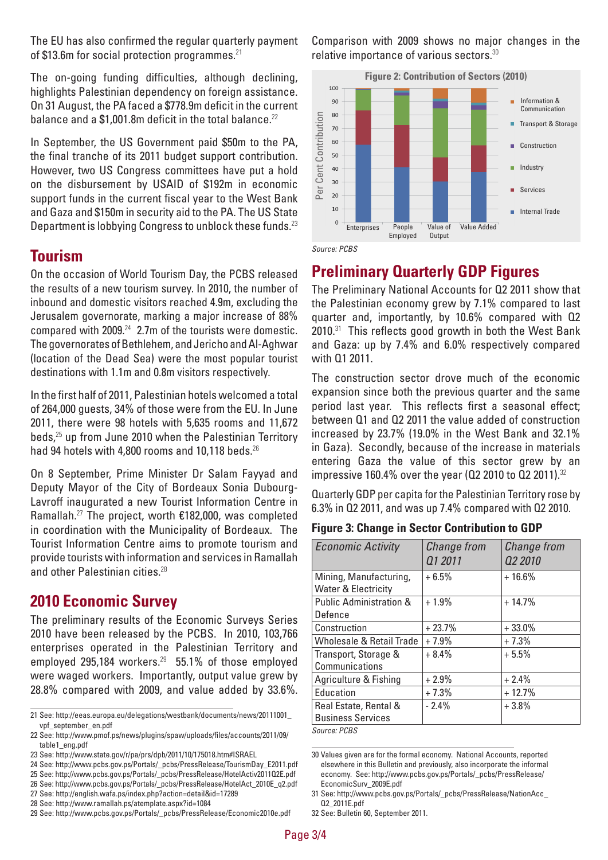The EU has also confirmed the regular quarterly payment of \$13.6m for social protection programmes. $21$ 

The on-going funding difficulties, although declining, highlights Palestinian dependency on foreign assistance. On 31 August, the PA faced a \$778.9m deficit in the current balance and a  $$1,001.8m$  deficit in the total balance.<sup>22</sup>

In September, the US Government paid \$50m to the PA, the final tranche of its 2011 budget support contribution. However, two US Congress committees have put a hold on the disbursement by USAID of \$192m in economic support funds in the current fiscal year to the West Bank and Gaza and \$150m in security aid to the PA. The US State Department is lobbying Congress to unblock these funds.<sup>23</sup>

#### **Tourism**

On the occasion of World Tourism Day, the PCBS released the results of a new tourism survey. In 2010, the number of inbound and domestic visitors reached 4.9m, excluding the Jerusalem governorate, marking a major increase of 88% compared with 2009.<sup>24</sup> 2.7m of the tourists were domestic. The governorates of Bethlehem, and Jericho and Al-Aghwar (location of the Dead Sea) were the most popular tourist destinations with 1.1m and 0.8m visitors respectively.

In the first half of 2011, Palestinian hotels welcomed a total of 264,000 guests, 34% of those were from the EU. In June 2011, there were 98 hotels with 5,635 rooms and 11,672 beds,<sup>25</sup> up from June 2010 when the Palestinian Territory had 94 hotels with 4,800 rooms and 10,118 beds. $^{26}$ 

On 8 September, Prime Minister Dr Salam Fayyad and Deputy Mayor of the City of Bordeaux Sonia Dubourg-Lavroff inaugurated a new Tourist Information Centre in Ramallah.<sup>27</sup> The project, worth €182,000, was completed in coordination with the Municipality of Bordeaux. The Tourist Information Centre aims to promote tourism and provide tourists with information and services in Ramallah and other Palestinian cities.<sup>28</sup>

#### **2010 Economic Survey**

The preliminary results of the Economic Surveys Series 2010 have been released by the PCBS. In 2010, 103,766 enterprises operated in the Palestinian Territory and employed 295,184 workers.<sup>29</sup> 55,1% of those employed were waged workers. Importantly, output value grew by 28.8% compared with 2009, and value added by 33.6%.

- 24 See: http://www.pcbs.gov.ps/Portals/\_pcbs/PressRelease/TourismDay\_E2011.pdf
- 25 See: http://www.pcbs.gov.ps/Portals/\_pcbs/PressRelease/HotelActiv2011Q2E.pdf
- 26 See: http://www.pcbs.gov.ps/Portals/\_pcbs/PressRelease/HotelAct\_2010E\_q2.pdf
- 27 See: http://english.wafa.ps/index.php?action=detail&id=17289
- 28 See: http://www.ramallah.ps/atemplate.aspx?id=1084

Comparison with 2009 shows no major changes in the relative importance of various sectors.<sup>30</sup>





### **Preliminary Quarterly GDP Figures**

The Preliminary National Accounts for Q2 2011 show that the Palestinian economy grew by 7.1% compared to last quarter and, importantly, by 10.6% compared with Q2 2010.<sup>31</sup> This reflects good growth in both the West Bank and Gaza: up by 7.4% and 6.0% respectively compared with Q1 2011.

The construction sector drove much of the economic expansion since both the previous quarter and the same period last year. This reflects first a seasonal effect; between Q1 and Q2 2011 the value added of construction increased by 23.7% (19.0% in the West Bank and 32.1% in Gaza). Secondly, because of the increase in materials entering Gaza the value of this sector grew by an impressive 160.4% over the year ( $Q2$  2010 to  $Q2$  2011).<sup>32</sup>

Quarterly GDP per capita for the Palestinian Territory rose by 6.3% in Q2 2011, and was up 7.4% compared with Q2 2010.

#### **Figure 3: Change in Sector Contribution to GDP**

| <b>Economic Activity</b>           | Change from | Change from |
|------------------------------------|-------------|-------------|
|                                    | Q1 2011     | 02 2010     |
| Mining, Manufacturing,             | $+6.5%$     | $+16.6%$    |
| <b>Water &amp; Electricity</b>     |             |             |
| <b>Public Administration &amp;</b> | $+1.9%$     | $+14.7%$    |
| Defence                            |             |             |
| Construction                       | $+23.7%$    | $+33.0%$    |
| Wholesale & Retail Trade           | $+7.9%$     | $+7.3%$     |
| Transport, Storage &               | $+8.4%$     | $+5.5%$     |
| Communications                     |             |             |
| Agriculture & Fishing              | $+2.9%$     | $+2.4%$     |
| Education                          | $+7.3%$     | $+12.7%$    |
| Real Estate, Rental &              | $-2.4%$     | $+3.8\%$    |
| <b>Business Services</b>           |             |             |
| Course DCRC                        |             |             |

*Source: PCBS*

<sup>21</sup> See: http://eeas.europa.eu/delegations/westbank/documents/news/20111001\_ vpf\_september\_en.pdf

<sup>22</sup> See: http://www.pmof.ps/news/plugins/spaw/uploads/files/accounts/2011/09/ table1\_eng.pdf

<sup>23</sup> See: http://www.state.gov/r/pa/prs/dpb/2011/10/175018.htm#ISRAEL

<sup>29</sup> See: http://www.pcbs.gov.ps/Portals/\_pcbs/PressRelease/Economic2010e.pdf

<sup>30</sup> Values given are for the formal economy. National Accounts, reported elsewhere in this Bulletin and previously, also incorporate the informal economy. See: http://www.pcbs.gov.ps/Portals/\_pcbs/PressRelease/ EconomicSurv\_2009E.pdf

<sup>31</sup> See: http://www.pcbs.gov.ps/Portals/\_pcbs/PressRelease/NationAcc\_ Q2\_2011E.pdf

<sup>32</sup> See: Bulletin 60, September 2011.